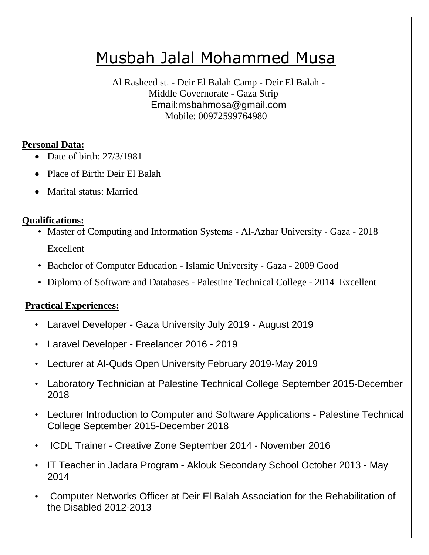# Musbah Jalal Mohammed Musa

Al Rasheed st. - Deir El Balah Camp - Deir El Balah - Middle Governorate - Gaza Strip Email:msbahmosa@gmail.com Mobile: 00972599764980

#### **Personal Data:**

- $\bullet$  Date of birth: 27/3/1981
- Place of Birth: Deir El Balah
- Marital status: Married

## **Qualifications:**

- Master of Computing and Information Systems Al-Azhar University Gaza 2018 Excellent
- Bachelor of Computer Education Islamic University Gaza 2009 Good
- Diploma of Software and Databases Palestine Technical College 2014 Excellent

## **Practical Experiences:**

- Laravel Developer Gaza University July 2019 August 2019
- Laravel Developer Freelancer 2016 2019
- Lecturer at Al-Quds Open University February 2019-May 2019
- Laboratory Technician at Palestine Technical College September 2015-December 2018
- Lecturer Introduction to Computer and Software Applications Palestine Technical College September 2015-December 2018
- ICDL Trainer Creative Zone September 2014 November 2016
- IT Teacher in Jadara Program Aklouk Secondary School October 2013 May 2014
- Computer Networks Officer at Deir El Balah Association for the Rehabilitation of the Disabled 2012-2013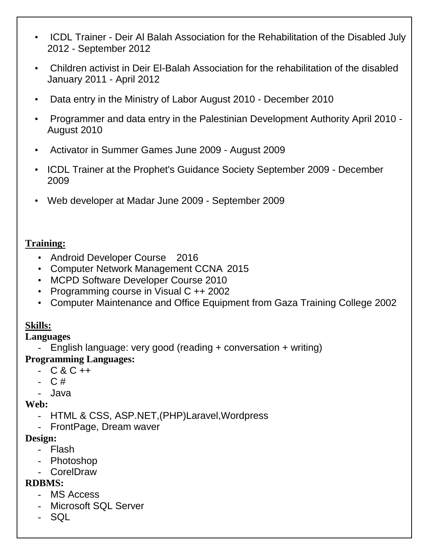- ICDL Trainer Deir Al Balah Association for the Rehabilitation of the Disabled July 2012 - September 2012
- Children activist in Deir El-Balah Association for the rehabilitation of the disabled January 2011 - April 2012
- Data entry in the Ministry of Labor August 2010 December 2010
- Programmer and data entry in the Palestinian Development Authority April 2010 August 2010
- Activator in Summer Games June 2009 August 2009
- ICDL Trainer at the Prophet's Guidance Society September 2009 December 2009
- Web developer at Madar June 2009 September 2009

#### **Training:**

- Android Developer Course 2016
- Computer Network Management CCNA 2015
- MCPD Software Developer Course 2010
- Programming course in Visual C ++ 2002
- Computer Maintenance and Office Equipment from Gaza Training College 2002

### **Skills:**

#### **Languages**

- English language: very good (reading + conversation + writing)

#### **Programming Languages:**

- $-C & C ++$
- C #
- Java

#### **Web:**

- HTML & CSS, ASP.NET,(PHP)Laravel,Wordpress
- FrontPage, Dream waver

#### **Design:**

- Flash
- Photoshop
- CorelDraw

#### **RDBMS:**

- MS Access
- Microsoft SQL Server
- SQL